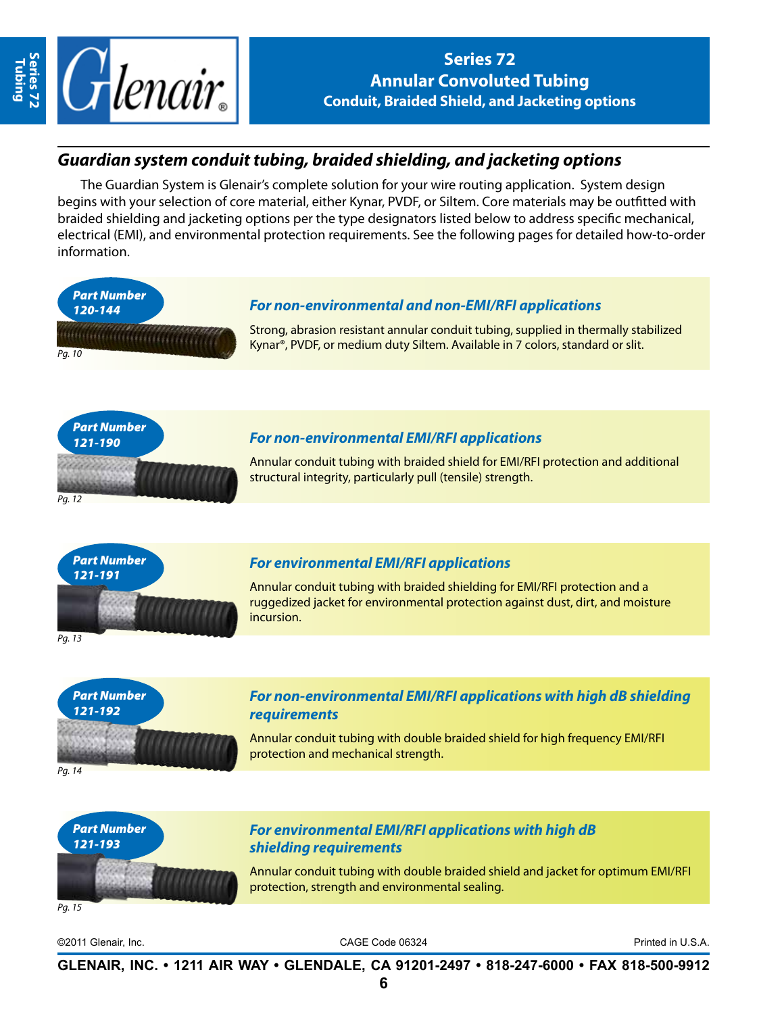

**Tubing**

**Series 72 Annular Convoluted Tubing Conduit, Braided Shield, and Jacketing options**

# *Guardian system conduit tubing, braided shielding, and jacketing options*

The Guardian System is Glenair's complete solution for your wire routing application. System design begins with your selection of core material, either Kynar, PVDF, or Siltem. Core materials may be outfitted with braided shielding and jacketing options per the type designators listed below to address specific mechanical, electrical (EMI), and environmental protection requirements. See the following pages for detailed how-to-order information.



Annular conduit tubing with braided shield for EMI/RFI protection and additional structural integrity, particularly pull (tensile) strength.



### *For environmental EMI/RFI applications*

Annular conduit tubing with braided shielding for EMI/RFI protection and a ruggedized jacket for environmental protection against dust, dirt, and moisture incursion.



*Pg. 12*



#### *For non-environmental EMI/RFI applications with high dB shielding requirements*

Annular conduit tubing with double braided shield for high frequency EMI/RFI protection and mechanical strength.



### *For environmental EMI/RFI applications with high dB shielding requirements*

Annular conduit tubing with double braided shield and jacket for optimum EMI/RFI protection, strength and environmental sealing.

*Pg. 15*

©2011 Glenair, Inc. CAGE Code 06324 Printed in U.S.A.